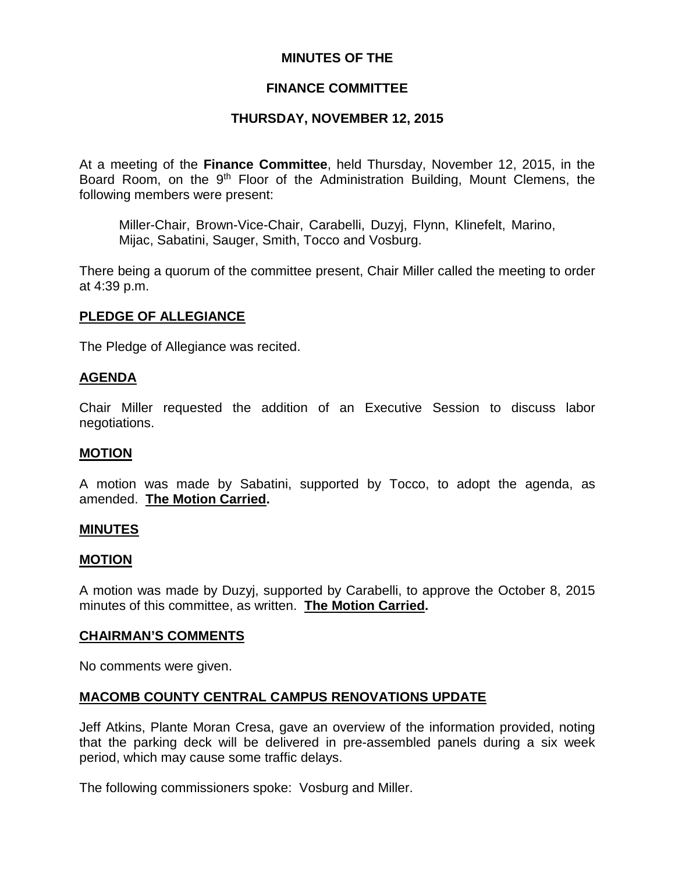### **MINUTES OF THE**

### **FINANCE COMMITTEE**

## **THURSDAY, NOVEMBER 12, 2015**

At a meeting of the **Finance Committee**, held Thursday, November 12, 2015, in the Board Room, on the 9<sup>th</sup> Floor of the Administration Building, Mount Clemens, the following members were present:

Miller-Chair, Brown-Vice-Chair, Carabelli, Duzyj, Flynn, Klinefelt, Marino, Mijac, Sabatini, Sauger, Smith, Tocco and Vosburg.

There being a quorum of the committee present, Chair Miller called the meeting to order at 4:39 p.m.

### **PLEDGE OF ALLEGIANCE**

The Pledge of Allegiance was recited.

### **AGENDA**

Chair Miller requested the addition of an Executive Session to discuss labor negotiations.

### **MOTION**

A motion was made by Sabatini, supported by Tocco, to adopt the agenda, as amended. **The Motion Carried.**

### **MINUTES**

### **MOTION**

A motion was made by Duzyj, supported by Carabelli, to approve the October 8, 2015 minutes of this committee, as written. **The Motion Carried.**

### **CHAIRMAN'S COMMENTS**

No comments were given.

### **MACOMB COUNTY CENTRAL CAMPUS RENOVATIONS UPDATE**

Jeff Atkins, Plante Moran Cresa, gave an overview of the information provided, noting that the parking deck will be delivered in pre-assembled panels during a six week period, which may cause some traffic delays.

The following commissioners spoke: Vosburg and Miller.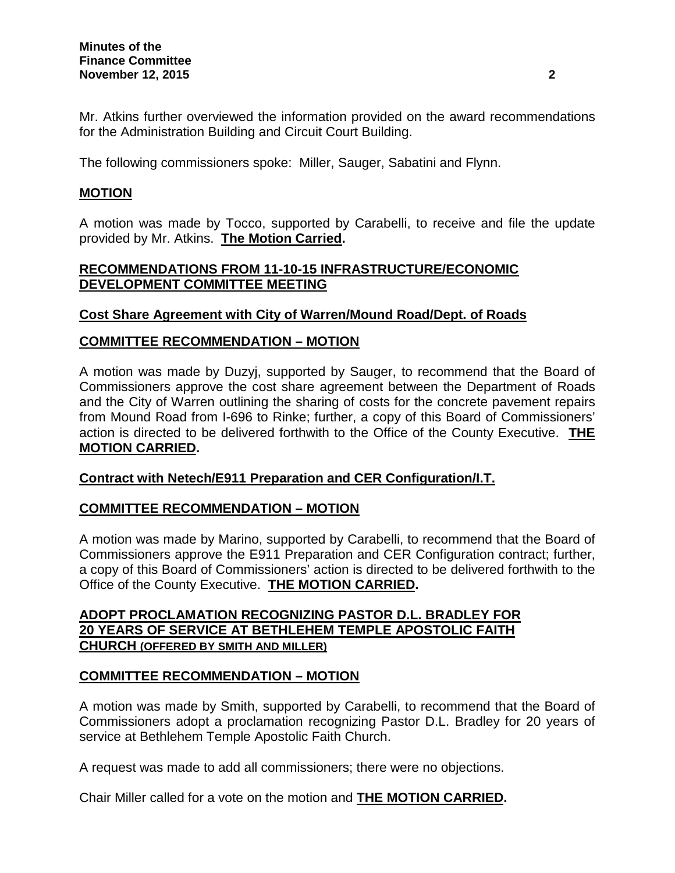Mr. Atkins further overviewed the information provided on the award recommendations for the Administration Building and Circuit Court Building.

The following commissioners spoke: Miller, Sauger, Sabatini and Flynn.

## **MOTION**

A motion was made by Tocco, supported by Carabelli, to receive and file the update provided by Mr. Atkins. **The Motion Carried.**

## **RECOMMENDATIONS FROM 11-10-15 INFRASTRUCTURE/ECONOMIC DEVELOPMENT COMMITTEE MEETING**

# **Cost Share Agreement with City of Warren/Mound Road/Dept. of Roads**

# **COMMITTEE RECOMMENDATION – MOTION**

A motion was made by Duzyj, supported by Sauger, to recommend that the Board of Commissioners approve the cost share agreement between the Department of Roads and the City of Warren outlining the sharing of costs for the concrete pavement repairs from Mound Road from I-696 to Rinke; further, a copy of this Board of Commissioners' action is directed to be delivered forthwith to the Office of the County Executive. **THE MOTION CARRIED.**

## **Contract with Netech/E911 Preparation and CER Configuration/I.T.**

## **COMMITTEE RECOMMENDATION – MOTION**

A motion was made by Marino, supported by Carabelli, to recommend that the Board of Commissioners approve the E911 Preparation and CER Configuration contract; further, a copy of this Board of Commissioners' action is directed to be delivered forthwith to the Office of the County Executive. **THE MOTION CARRIED.**

## **ADOPT PROCLAMATION RECOGNIZING PASTOR D.L. BRADLEY FOR 20 YEARS OF SERVICE AT BETHLEHEM TEMPLE APOSTOLIC FAITH CHURCH (OFFERED BY SMITH AND MILLER)**

## **COMMITTEE RECOMMENDATION – MOTION**

A motion was made by Smith, supported by Carabelli, to recommend that the Board of Commissioners adopt a proclamation recognizing Pastor D.L. Bradley for 20 years of service at Bethlehem Temple Apostolic Faith Church.

A request was made to add all commissioners; there were no objections.

Chair Miller called for a vote on the motion and **THE MOTION CARRIED.**